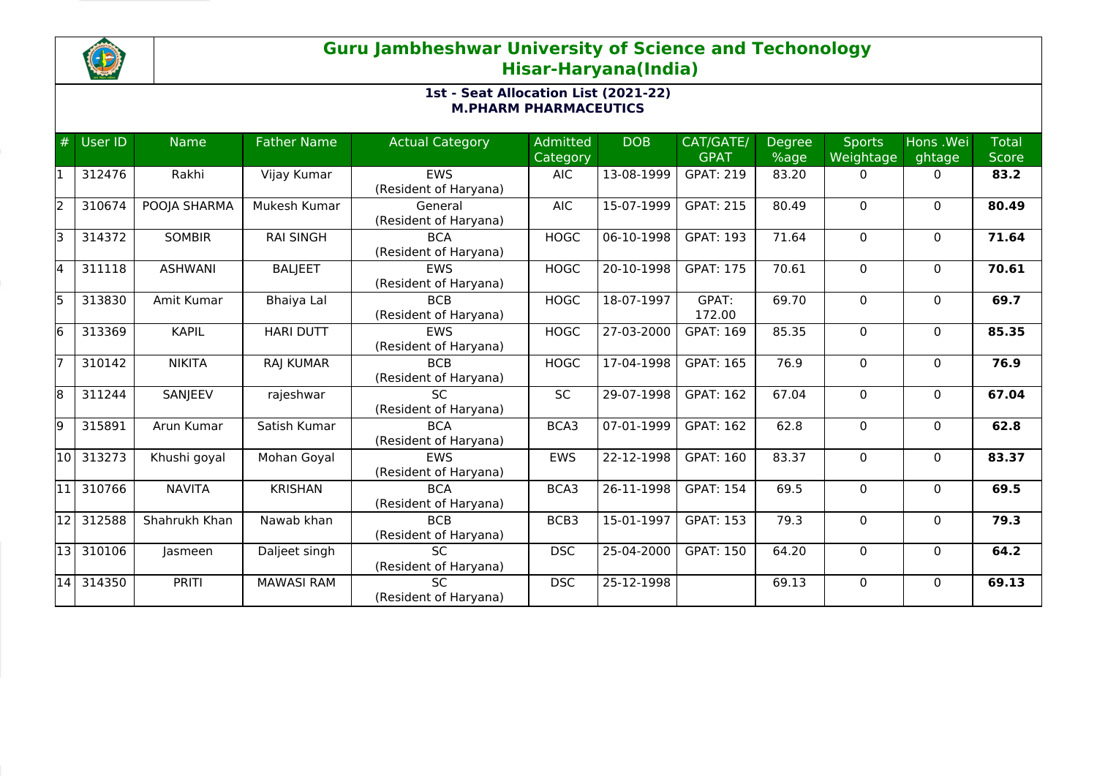

## **Guru Jambheshwar University of Science and Techonology Hisar-Haryana(India)**

## **1st - Seat Allocation List (2021-22) M.PHARM PHARMACEUTICS**

| #  | User ID | <b>Name</b>    | <b>Father Name</b> | <b>Actual Category</b>                   | Admitted<br>Category | <b>DOB</b> | CAT/GATE/<br><b>GPAT</b> | Degree<br>%age | <b>Sports</b><br>Weightage | Hons .Wei<br>ghtage | <b>Total</b><br><b>Score</b> |
|----|---------|----------------|--------------------|------------------------------------------|----------------------|------------|--------------------------|----------------|----------------------------|---------------------|------------------------------|
|    | 312476  | Rakhi          | Vijay Kumar        | <b>EWS</b><br>(Resident of Haryana)      | <b>AIC</b>           | 13-08-1999 | <b>GPAT: 219</b>         | 83.20          | $\Omega$                   | $\Omega$            | 83.2                         |
| l2 | 310674  | POOJA SHARMA   | Mukesh Kumar       | General<br>(Resident of Haryana)         | <b>AIC</b>           | 15-07-1999 | <b>GPAT: 215</b>         | 80.49          | $\Omega$                   | $\mathbf{0}$        | 80.49                        |
| lЗ | 314372  | <b>SOMBIR</b>  | <b>RAI SINGH</b>   | <b>BCA</b><br>(Resident of Haryana)      | <b>HOGC</b>          | 06-10-1998 | <b>GPAT: 193</b>         | 71.64          | $\Omega$                   | $\mathbf{0}$        | 71.64                        |
| 14 | 311118  | <b>ASHWANI</b> | <b>BALJEET</b>     | <b>EWS</b><br>(Resident of Haryana)      | <b>HOGC</b>          | 20-10-1998 | <b>GPAT: 175</b>         | 70.61          | $\mathbf{0}$               | $\mathbf{0}$        | 70.61                        |
| l5 | 313830  | Amit Kumar     | Bhaiya Lal         | <b>BCB</b><br>(Resident of Haryana)      | <b>HOGC</b>          | 18-07-1997 | GPAT:<br>172.00          | 69.70          | $\Omega$                   | $\mathbf{0}$        | 69.7                         |
| 16 | 313369  | <b>KAPIL</b>   | <b>HARI DUTT</b>   | <b>EWS</b><br>(Resident of Haryana)      | <b>HOGC</b>          | 27-03-2000 | <b>GPAT: 169</b>         | 85.35          | 0                          | $\mathbf{0}$        | 85.35                        |
|    | 310142  | <b>NIKITA</b>  | <b>RAJ KUMAR</b>   | <b>BCB</b><br>(Resident of Haryana)      | <b>HOGC</b>          | 17-04-1998 | <b>GPAT: 165</b>         | 76.9           | $\mathbf{0}$               | $\mathbf{0}$        | 76.9                         |
| 18 | 311244  | SANJEEV        | rajeshwar          | SC.<br>(Resident of Haryana)             | <b>SC</b>            | 29-07-1998 | <b>GPAT: 162</b>         | 67.04          | 0                          | $\mathbf{0}$        | 67.04                        |
| 19 | 315891  | Arun Kumar     | Satish Kumar       | <b>BCA</b><br>(Resident of Haryana)      | BCA3                 | 07-01-1999 | <b>GPAT: 162</b>         | 62.8           | $\Omega$                   | $\mathbf{0}$        | 62.8                         |
| 10 | 313273  | Khushi goyal   | Mohan Goyal        | <b>FWS</b><br>(Resident of Haryana)      | <b>EWS</b>           | 22-12-1998 | <b>GPAT: 160</b>         | 83.37          | $\Omega$                   | $\mathbf{0}$        | 83.37                        |
| 11 | 310766  | <b>NAVITA</b>  | <b>KRISHAN</b>     | <b>BCA</b><br>(Resident of Haryana)      | BCA3                 | 26-11-1998 | <b>GPAT: 154</b>         | 69.5           | $\Omega$                   | $\mathbf{0}$        | 69.5                         |
| 12 | 312588  | Shahrukh Khan  | Nawab khan         | <b>BCB</b><br>(Resident of Haryana)      | BCB3                 | 15-01-1997 | <b>GPAT: 153</b>         | 79.3           | $\Omega$                   | $\mathbf{0}$        | 79.3                         |
| 13 | 310106  | lasmeen        | Daljeet singh      | $\overline{SC}$<br>(Resident of Haryana) | <b>DSC</b>           | 25-04-2000 | <b>GPAT: 150</b>         | 64.20          | 0                          | $\mathbf{0}$        | 64.2                         |
| 14 | 314350  | <b>PRITI</b>   | <b>MAWASI RAM</b>  | <b>SC</b><br>(Resident of Haryana)       | <b>DSC</b>           | 25-12-1998 |                          | 69.13          | $\Omega$                   | $\Omega$            | 69.13                        |